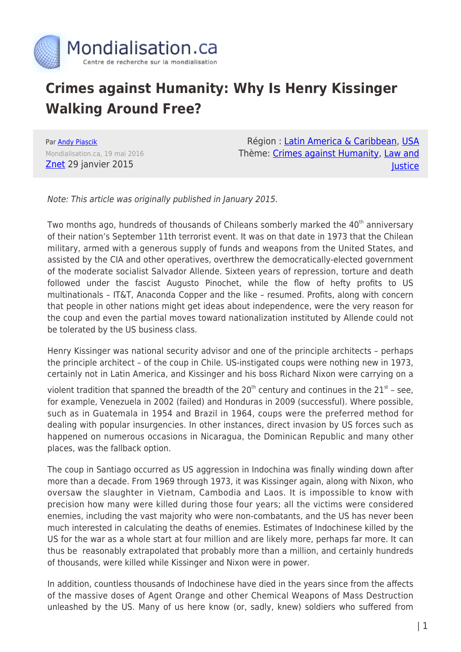

## **Crimes against Humanity: Why Is Henry Kissinger Walking Around Free?**

Par [Andy Piascik](https://www.mondialisation.ca/author/andy-piascik) Mondialisation.ca, 19 mai 2016 [Znet](http://www.zcommunications.org/why-is-henry-kissinger-walking-around-free-by-andy-piascik.html) 29 janvier 2015

Région : [Latin America & Caribbean,](https://www.mondialisation.ca/region/latin-america-caribbean) [USA](https://www.mondialisation.ca/region/usa) Thème: [Crimes against Humanity](https://www.mondialisation.ca/theme/crimes-against-humanity), [Law and](https://www.mondialisation.ca/theme/law-and-justice) **lustice** 

Note: This article was originally published in January 2015.

Two months ago, hundreds of thousands of Chileans somberly marked the 40<sup>th</sup> anniversary of their nation's September 11th terrorist event. It was on that date in 1973 that the Chilean military, armed with a generous supply of funds and weapons from the United States, and assisted by the CIA and other operatives, overthrew the democratically-elected government of the moderate socialist Salvador Allende. Sixteen years of repression, torture and death followed under the fascist Augusto Pinochet, while the flow of hefty profits to US multinationals – IT&T, Anaconda Copper and the like – resumed. Profits, along with concern that people in other nations might get ideas about independence, were the very reason for the coup and even the partial moves toward nationalization instituted by Allende could not be tolerated by the US business class.

Henry Kissinger was national security advisor and one of the principle architects – perhaps the principle architect – of the coup in Chile. US-instigated coups were nothing new in 1973, certainly not in Latin America, and Kissinger and his boss Richard Nixon were carrying on a

violent tradition that spanned the breadth of the  $20<sup>th</sup>$  century and continues in the  $21<sup>st</sup>$  – see, for example, Venezuela in 2002 (failed) and Honduras in 2009 (successful). Where possible, such as in Guatemala in 1954 and Brazil in 1964, coups were the preferred method for dealing with popular insurgencies. In other instances, direct invasion by US forces such as happened on numerous occasions in Nicaragua, the Dominican Republic and many other places, was the fallback option.

The coup in Santiago occurred as US aggression in Indochina was finally winding down after more than a decade. From 1969 through 1973, it was Kissinger again, along with Nixon, who oversaw the slaughter in Vietnam, Cambodia and Laos. It is impossible to know with precision how many were killed during those four years; all the victims were considered enemies, including the vast majority who were non-combatants, and the US has never been much interested in calculating the deaths of enemies. Estimates of Indochinese killed by the US for the war as a whole start at four million and are likely more, perhaps far more. It can thus be reasonably extrapolated that probably more than a million, and certainly hundreds of thousands, were killed while Kissinger and Nixon were in power.

In addition, countless thousands of Indochinese have died in the years since from the affects of the massive doses of Agent Orange and other Chemical Weapons of Mass Destruction unleashed by the US. Many of us here know (or, sadly, knew) soldiers who suffered from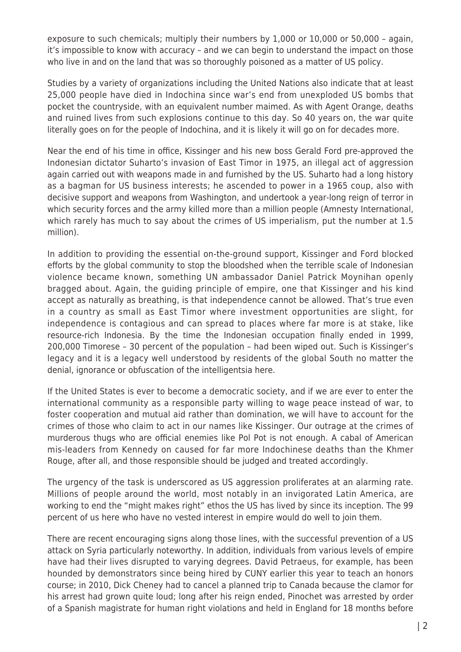exposure to such chemicals; multiply their numbers by 1,000 or 10,000 or 50,000 – again, it's impossible to know with accuracy – and we can begin to understand the impact on those who live in and on the land that was so thoroughly poisoned as a matter of US policy.

Studies by a variety of organizations including the United Nations also indicate that at least 25,000 people have died in Indochina since war's end from unexploded US bombs that pocket the countryside, with an equivalent number maimed. As with Agent Orange, deaths and ruined lives from such explosions continue to this day. So 40 years on, the war quite literally goes on for the people of Indochina, and it is likely it will go on for decades more.

Near the end of his time in office, Kissinger and his new boss Gerald Ford pre-approved the Indonesian dictator Suharto's invasion of East Timor in 1975, an illegal act of aggression again carried out with weapons made in and furnished by the US. Suharto had a long history as a bagman for US business interests; he ascended to power in a 1965 coup, also with decisive support and weapons from Washington, and undertook a year-long reign of terror in which security forces and the army killed more than a million people (Amnesty International, which rarely has much to say about the crimes of US imperialism, put the number at 1.5 million).

In addition to providing the essential on-the-ground support, Kissinger and Ford blocked efforts by the global community to stop the bloodshed when the terrible scale of Indonesian violence became known, something UN ambassador Daniel Patrick Moynihan openly bragged about. Again, the guiding principle of empire, one that Kissinger and his kind accept as naturally as breathing, is that independence cannot be allowed. That's true even in a country as small as East Timor where investment opportunities are slight, for independence is contagious and can spread to places where far more is at stake, like resource-rich Indonesia. By the time the Indonesian occupation finally ended in 1999, 200,000 Timorese – 30 percent of the population – had been wiped out. Such is Kissinger's legacy and it is a legacy well understood by residents of the global South no matter the denial, ignorance or obfuscation of the intelligentsia here.

If the United States is ever to become a democratic society, and if we are ever to enter the international community as a responsible party willing to wage peace instead of war, to foster cooperation and mutual aid rather than domination, we will have to account for the crimes of those who claim to act in our names like Kissinger. Our outrage at the crimes of murderous thugs who are official enemies like Pol Pot is not enough. A cabal of American mis-leaders from Kennedy on caused for far more Indochinese deaths than the Khmer Rouge, after all, and those responsible should be judged and treated accordingly.

The urgency of the task is underscored as US aggression proliferates at an alarming rate. Millions of people around the world, most notably in an invigorated Latin America, are working to end the "might makes right" ethos the US has lived by since its inception. The 99 percent of us here who have no vested interest in empire would do well to join them.

There are recent encouraging signs along those lines, with the successful prevention of a US attack on Syria particularly noteworthy. In addition, individuals from various levels of empire have had their lives disrupted to varying degrees. David Petraeus, for example, has been hounded by demonstrators since being hired by CUNY earlier this year to teach an honors course; in 2010, Dick Cheney had to cancel a planned trip to Canada because the clamor for his arrest had grown quite loud; long after his reign ended, Pinochet was arrested by order of a Spanish magistrate for human right violations and held in England for 18 months before